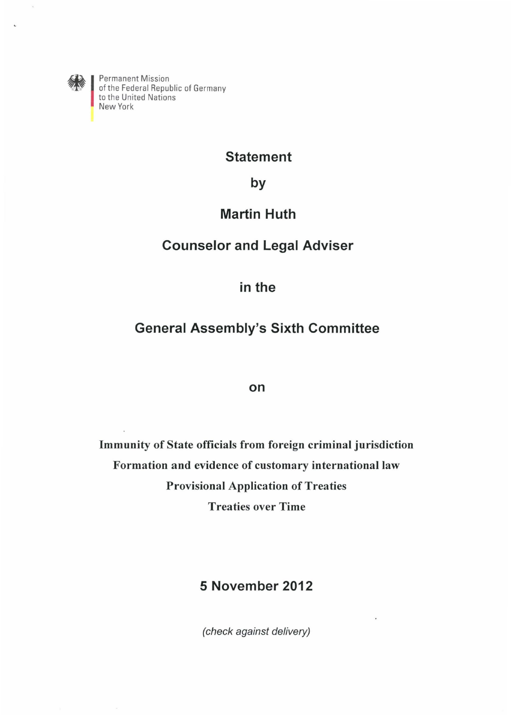

<sup>~</sup>I Permanent Mission ~ of the Federal Republic of Germany to the United Nations New York

# **Statement**

**by** 

# **Martin Huth**

# **Counselor and Legal Adviser**

**in the** 

# **General Assembly's Sixth Committee**

## **on**

**Immunity of State officials from foreign criminal jurisdiction Formation and evidence of customary international law Provisional Application of Treaties Treaties over Time** 

# **5 November 2012**

(check against delivery)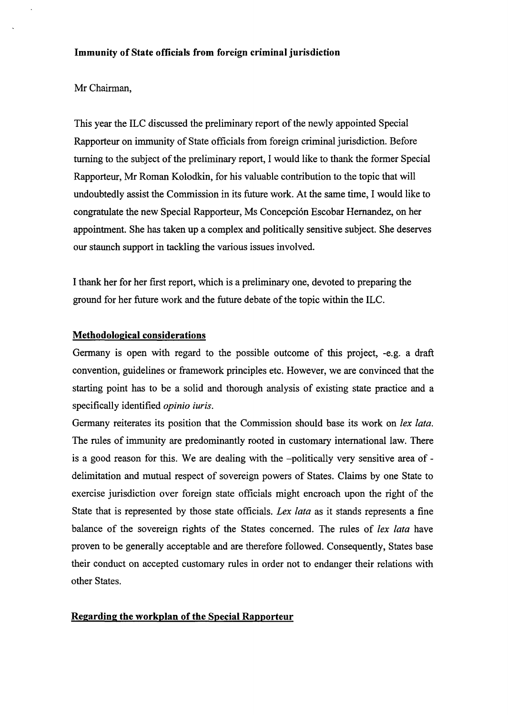## Mr Chairman,

This year the ILC discussed the preliminary report of the newly appointed Special Rapporteur on immunity of State officials from foreign criminal jurisdiction. Before turning to the subject of the preliminary report, I would like to thank the former Special Rapporteur, Mr Roman Kolodkin, for his valuable contribution to the topic that will undoubtedly assist the Commission in its future work. At the same time, I would like to congratulate the new Special Rapporteur, Ms Concepcion Escobar Hernandez, on her appointment. She has taken up a complex and politically sensitive subject. She deserves our staunch support in tackling the various issues involved.

I thank her for her first report, which is a preliminary one, devoted to preparing the ground for her future work and the future debate of the topic within the ILC.

## **Methodological considerations**

Germany is open with regard to the possible outcome of this project, -e.g. a draft convention, guidelines or framework principles etc. However, we are convinced that the starting point has to be a solid and thorough analysis of existing state practice and a specifically identified *opinio iuris.* 

Germany reiterates its position that the Commission should base its work on *!ex lata.*  The rules of immunity are predominantly rooted in customary international law. There is a good reason for this. We are dealing with the -politically very sensitive area of delimitation and mutual respect of sovereign powers of States. Claims by one State to exercise jurisdiction over foreign state officials might encroach upon the right of the State that is represented by those state officials. *Lex lata* as it stands represents a fine balance of the sovereign rights of the States concerned. The rules of *!ex lata* have proven to be generally acceptable and are therefore followed. Consequently, States base their conduct on accepted customary rules in order not to endanger their relations with other States.

## **Regarding the workplan of the Special Rapporteur**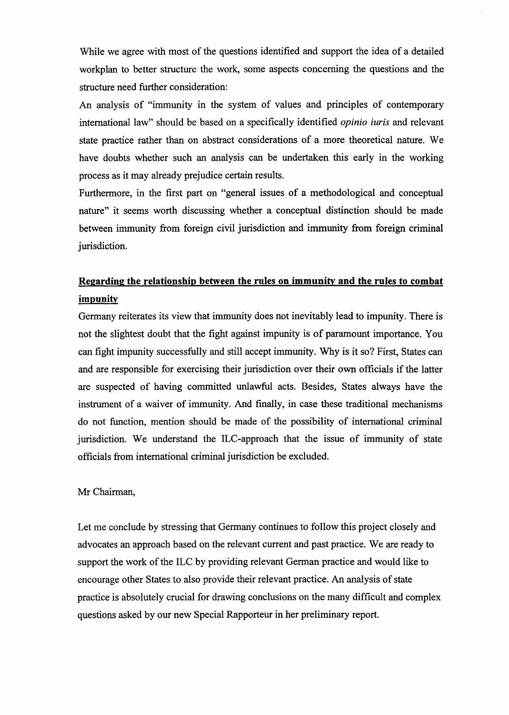While we agree with most of the questions identified and support the idea of a detailed workplan to better structure the work, some aspects concerning the questions and the structure need further consideration:

An analysis of "immunity in the system of values and principles of contemporary international law" should be based on a specifically identified *opinio iuris* and relevant state practice rather than on abstract considerations of a more theoretical nature. We have doubts whether such an analysis can be undertaken this early in the working process as it may already prejudice certain results.

Furthermore, in the first part on "general issues of a methodological and conceptual nature" it seems worth discussing whether a conceptual distinction should be made between immunity from foreign civil jurisdiction and immunity from foreign criminal jurisdiction.

# **Regarding the relationship between the rules on immunity and the rules to combat impunity**

Germany reiterates its view that immunity does not inevitably lead to impunity. There is not the slightest doubt that the fight against impunity is of paramount importance. You can fight impunity successfully and still accept immunity. Why is it so? First, States can and are responsible for exercising their jurisdiction over their own officials if the latter are suspected of having committed unlawful acts. Besides, States always have the instrument of a waiver of immunity. And finally, in case these traditional mechanisms do not function, mention should be made of the possibility of international criminal jurisdiction. We understand the ILC-approach that the issue of immunity of state officials from international criminal jurisdiction be excluded.

#### Mr Chairman,

Let me conclude by stressing that Germany continues to follow this project closely and advocates an approach based on the relevant current and past practice. We are ready to support the work of the ILC by providing relevant German practice and would like to encourage other States to also provide their relevant practice. An analysis of state practice is absolutely crucial for drawing conclusions on the many difficult and complex questions asked by our new Special Rapporteur in her preliminary report.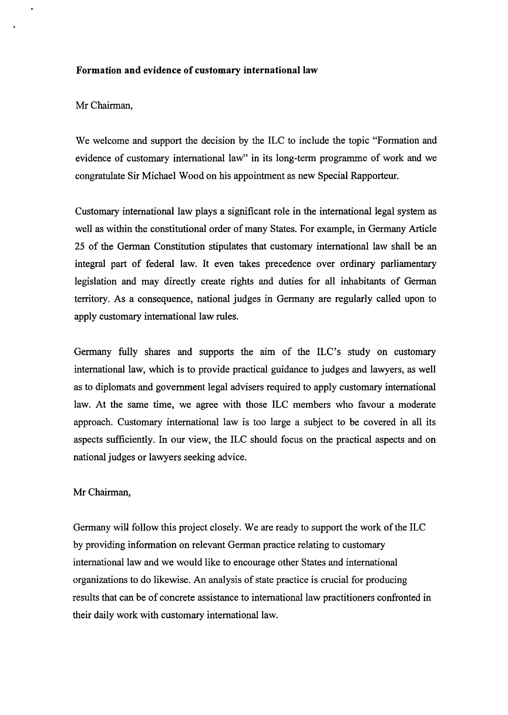## **Formation and evidence of customary international law**

#### Mr Chairman,

We welcome and support the decision by the ILC to include the topic "Formation and evidence of customary international law" in its long-term programme of work and we congratulate Sir Michael Wood on his appointment as new Special Rapporteur.

Customary international law plays a significant role in the international legal system as well as within the constitutional order of many States. For example, in Germany Article 25 of the German Constitution stipulates that customary international law shall be an integral part of federal law. It even takes precedence over ordinary parliamentary legislation and may directly create rights and duties for all inhabitants of German territory. As a consequence, national judges in Germany are regularly called upon to apply customary international law rules.

Germany fully shares and supports the aim of the ILC 's study on customary international law, which is to provide practical guidance to judges and lawyers, as well as to diplomats and government legal advisers required to apply customary international law. At the same time, we agree with those ILC members who favour a moderate approach. Customary international law is too large a subject to be covered in all its aspects sufficiently. In our view, the ILC should focus on the practical aspects and on national judges or lawyers seeking advice.

#### Mr Chairman,

Germany wilJ follow this project closely. We are ready to support the work of the ILC by providing information on relevant German practice relating to customary international law and we would like to encourage other States and international organizations to do likewise. An analysis of state practice is crucial for producing results that can be of concrete assistance to international law practitioners confronted in their daily work with customary international law.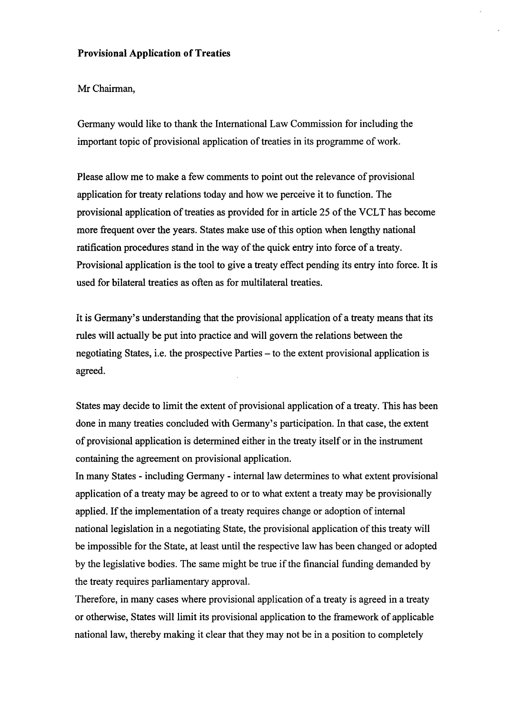## **Provisional Application of Treaties**

## Mr Chairman,

Germany would like to thank the International Law Commission for including the important topic of provisional application of treaties in its programme of work.

Please allow me to make a few comments to point out the relevance of provisional application for treaty relations today and how we perceive it to function. The provisional application of treaties as provided for in article 25 of the VCLT has become more frequent over the years. States make use of this option when lengthy national ratification procedures stand in the way of the quick entry into force of a treaty. Provisional application is the tool to give a treaty effect pending its entry into force. It is used for bilateral treaties as often as for multilateral treaties.

It is Germany's understanding that the provisional application of a treaty means that its rules will actually be put into practice and will govern the relations between the negotiating States, i.e. the prospective Parties – to the extent provisional application is agreed.

States may decide to limit the extent of provisional application of a treaty. This has been done in many treaties concluded with Germany's participation. In that case, the extent of provisional application is determined either in the treaty itself or in the instrument containing the agreement on provisional application.

In many States - including Germany - internal law determines to what extent provisional application of a treaty may be agreed to or to what extent a treaty may be provisionally applied. If the implementation of a treaty requires change or adoption of internal national legislation in a negotiating State, the provisional application of this treaty will be impossible for the State, at least until the respective law has been changed or adopted by the legislative bodies. The same might be true if the financial funding demanded by the treaty requires parliamentary approval.

Therefore, in many cases where provisional application of a treaty is agreed in a treaty or otherwise, States will limit its provisional application to the framework of applicable national law, thereby making it clear that they may not be in a position to completely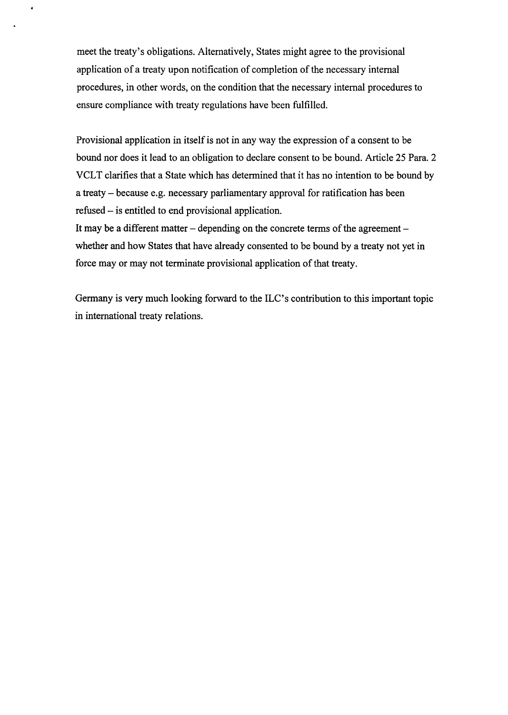meet the treaty's obligations. Alternatively, States might agree to the provisional application of a treaty upon notification of completion of the necessary internal procedures, in other words, on the condition that the necessary internal procedures to ensure compliance with treaty regulations have been fulfilled.

 $\ddot{\phantom{1}}$ 

Provisional application in itself is not in any way the expression of a consent to be bound nor does it lead to an obligation to declare consent to be bound. Article 25 Para. 2 VCLT clarifies that a State which has determined that it has no intention to be bound by a treaty - because e.g. necessary parliamentary approval for ratification has been refused - is entitled to end provisional application.

It may be a different matter  $-$  depending on the concrete terms of the agreement  $$ whether and how States that have already consented to be bound by a treaty not yet in force may or may not terminate provisional application of that treaty.

Germany is very much looking forward to the ILC's contribution to this important topic in international treaty relations.